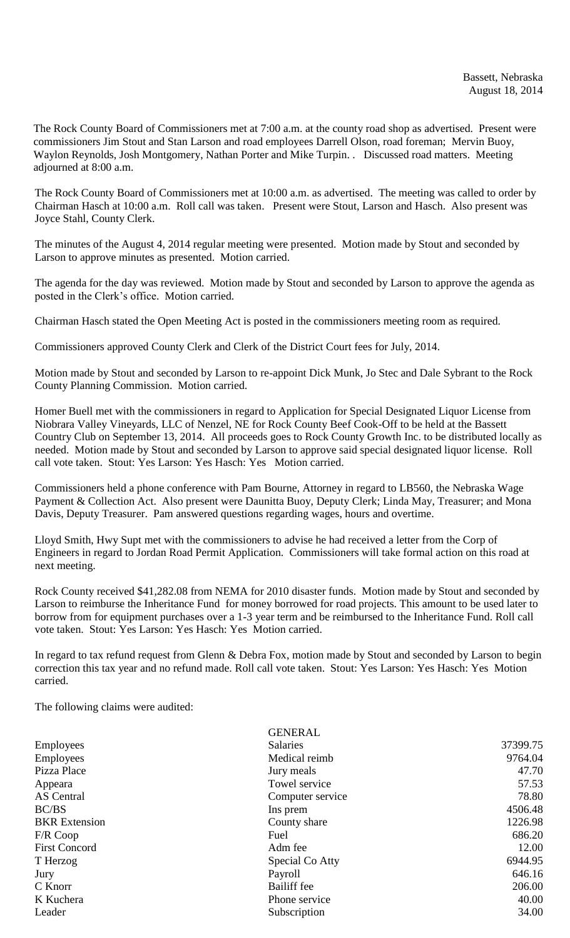The Rock County Board of Commissioners met at 7:00 a.m. at the county road shop as advertised. Present were commissioners Jim Stout and Stan Larson and road employees Darrell Olson, road foreman; Mervin Buoy, Waylon Reynolds, Josh Montgomery, Nathan Porter and Mike Turpin. . Discussed road matters. Meeting adjourned at 8:00 a.m.

The Rock County Board of Commissioners met at 10:00 a.m. as advertised. The meeting was called to order by Chairman Hasch at 10:00 a.m. Roll call was taken. Present were Stout, Larson and Hasch. Also present was Joyce Stahl, County Clerk.

The minutes of the August 4, 2014 regular meeting were presented. Motion made by Stout and seconded by Larson to approve minutes as presented. Motion carried.

The agenda for the day was reviewed. Motion made by Stout and seconded by Larson to approve the agenda as posted in the Clerk's office. Motion carried.

Chairman Hasch stated the Open Meeting Act is posted in the commissioners meeting room as required.

Commissioners approved County Clerk and Clerk of the District Court fees for July, 2014.

Motion made by Stout and seconded by Larson to re-appoint Dick Munk, Jo Stec and Dale Sybrant to the Rock County Planning Commission. Motion carried.

Homer Buell met with the commissioners in regard to Application for Special Designated Liquor License from Niobrara Valley Vineyards, LLC of Nenzel, NE for Rock County Beef Cook-Off to be held at the Bassett Country Club on September 13, 2014. All proceeds goes to Rock County Growth Inc. to be distributed locally as needed. Motion made by Stout and seconded by Larson to approve said special designated liquor license. Roll call vote taken. Stout: Yes Larson: Yes Hasch: Yes Motion carried.

Commissioners held a phone conference with Pam Bourne, Attorney in regard to LB560, the Nebraska Wage Payment & Collection Act. Also present were Daunitta Buoy, Deputy Clerk; Linda May, Treasurer; and Mona Davis, Deputy Treasurer. Pam answered questions regarding wages, hours and overtime.

Lloyd Smith, Hwy Supt met with the commissioners to advise he had received a letter from the Corp of Engineers in regard to Jordan Road Permit Application. Commissioners will take formal action on this road at next meeting.

Rock County received \$41,282.08 from NEMA for 2010 disaster funds. Motion made by Stout and seconded by Larson to reimburse the Inheritance Fund for money borrowed for road projects. This amount to be used later to borrow from for equipment purchases over a 1-3 year term and be reimbursed to the Inheritance Fund. Roll call vote taken. Stout: Yes Larson: Yes Hasch: Yes Motion carried.

In regard to tax refund request from Glenn & Debra Fox, motion made by Stout and seconded by Larson to begin correction this tax year and no refund made. Roll call vote taken. Stout: Yes Larson: Yes Hasch: Yes Motion carried.

The following claims were audited:

|                      | <b>GENERAL</b>     |          |
|----------------------|--------------------|----------|
| Employees            | <b>Salaries</b>    | 37399.75 |
| <b>Employees</b>     | Medical reimb      | 9764.04  |
| Pizza Place          | Jury meals         | 47.70    |
| Appeara              | Towel service      | 57.53    |
| AS Central           | Computer service   | 78.80    |
| BC/BS                | Ins prem           | 4506.48  |
| <b>BKR</b> Extension | County share       | 1226.98  |
| $F/R$ Coop           | Fuel               | 686.20   |
| <b>First Concord</b> | Adm fee            | 12.00    |
| T Herzog             | Special Co Atty    | 6944.95  |
| Jury                 | Payroll            | 646.16   |
| C Knorr              | <b>Bailiff</b> fee | 206.00   |
| K Kuchera            | Phone service      | 40.00    |
| Leader               | Subscription       | 34.00    |
|                      |                    |          |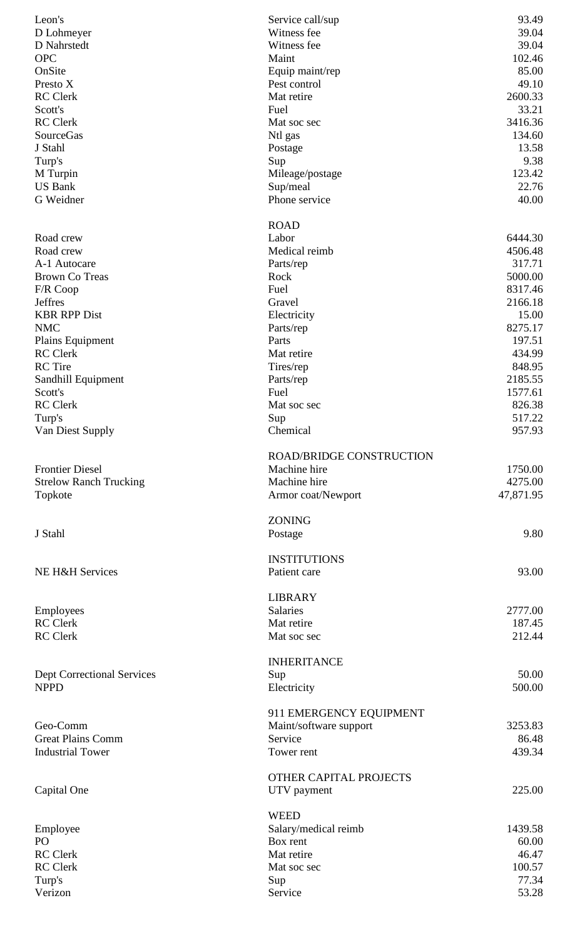| Leon's                            | Service call/sup                  | 93.49          |
|-----------------------------------|-----------------------------------|----------------|
| D Lohmeyer                        | Witness fee                       | 39.04          |
| D Nahrstedt                       | Witness fee                       | 39.04          |
| <b>OPC</b>                        | Maint                             | 102.46         |
| OnSite                            | Equip maint/rep                   | 85.00          |
| Presto X                          | Pest control                      | 49.10          |
| <b>RC</b> Clerk                   | Mat retire                        | 2600.33        |
| Scott's                           | Fuel                              | 33.21          |
| <b>RC</b> Clerk                   | Mat soc sec                       | 3416.36        |
| <b>SourceGas</b>                  | Ntl gas                           | 134.60         |
| J Stahl                           | Postage                           | 13.58          |
| Turp's                            | Sup                               | 9.38           |
| M Turpin                          | Mileage/postage                   | 123.42         |
| <b>US Bank</b>                    | Sup/meal                          | 22.76          |
| G Weidner                         | Phone service                     | 40.00          |
|                                   |                                   |                |
|                                   | <b>ROAD</b>                       |                |
| Road crew                         | Labor                             | 6444.30        |
| Road crew<br>A-1 Autocare         | Medical reimb                     | 4506.48        |
|                                   | Parts/rep                         | 317.71         |
| <b>Brown Co Treas</b>             | Rock                              | 5000.00        |
| F/R Coop                          | Fuel                              | 8317.46        |
| <b>Jeffres</b>                    | Gravel                            | 2166.18        |
| <b>KBR RPP Dist</b>               | Electricity                       | 15.00          |
| <b>NMC</b>                        | Parts/rep                         | 8275.17        |
| Plains Equipment                  | Parts                             | 197.51         |
| <b>RC</b> Clerk                   | Mat retire                        | 434.99         |
| <b>RC</b> Tire                    | Tires/rep                         | 848.95         |
| Sandhill Equipment                | Parts/rep                         | 2185.55        |
| Scott's                           | Fuel                              | 1577.61        |
| <b>RC</b> Clerk                   | Mat soc sec                       | 826.38         |
| Turp's                            | Sup                               | 517.22         |
| Van Diest Supply                  | Chemical                          | 957.93         |
|                                   | <b>ROAD/BRIDGE CONSTRUCTION</b>   |                |
| <b>Frontier Diesel</b>            | Machine hire                      | 1750.00        |
| <b>Strelow Ranch Trucking</b>     | Machine hire                      | 4275.00        |
| Topkote                           | Armor coat/Newport                | 47,871.95      |
|                                   |                                   |                |
| J Stahl                           | <b>ZONING</b>                     | 9.80           |
|                                   | Postage                           |                |
|                                   | <b>INSTITUTIONS</b>               |                |
| NE H&H Services                   | Patient care                      | 93.00          |
|                                   | <b>LIBRARY</b>                    |                |
|                                   | <b>Salaries</b>                   | 2777.00        |
| Employees<br><b>RC</b> Clerk      | Mat retire                        | 187.45         |
| <b>RC</b> Clerk                   | Mat soc sec                       | 212.44         |
|                                   |                                   |                |
|                                   | <b>INHERITANCE</b>                |                |
| <b>Dept Correctional Services</b> | Sup                               | 50.00          |
| <b>NPPD</b>                       | Electricity                       | 500.00         |
|                                   |                                   |                |
| Geo-Comm                          | 911 EMERGENCY EQUIPMENT           | 3253.83        |
| <b>Great Plains Comm</b>          | Maint/software support<br>Service | 86.48          |
| <b>Industrial Tower</b>           | Tower rent                        | 439.34         |
|                                   |                                   |                |
|                                   | OTHER CAPITAL PROJECTS            |                |
| Capital One                       | UTV payment                       | 225.00         |
|                                   |                                   |                |
|                                   | <b>WEED</b>                       |                |
| Employee                          | Salary/medical reimb              | 1439.58        |
| PO                                | Box rent                          | 60.00          |
| <b>RC</b> Clerk                   | Mat retire                        | 46.47          |
| <b>RC</b> Clerk                   | Mat soc sec                       | 100.57         |
| Turp's                            | Sup                               | 77.34<br>53.28 |
| Verizon                           | Service                           |                |